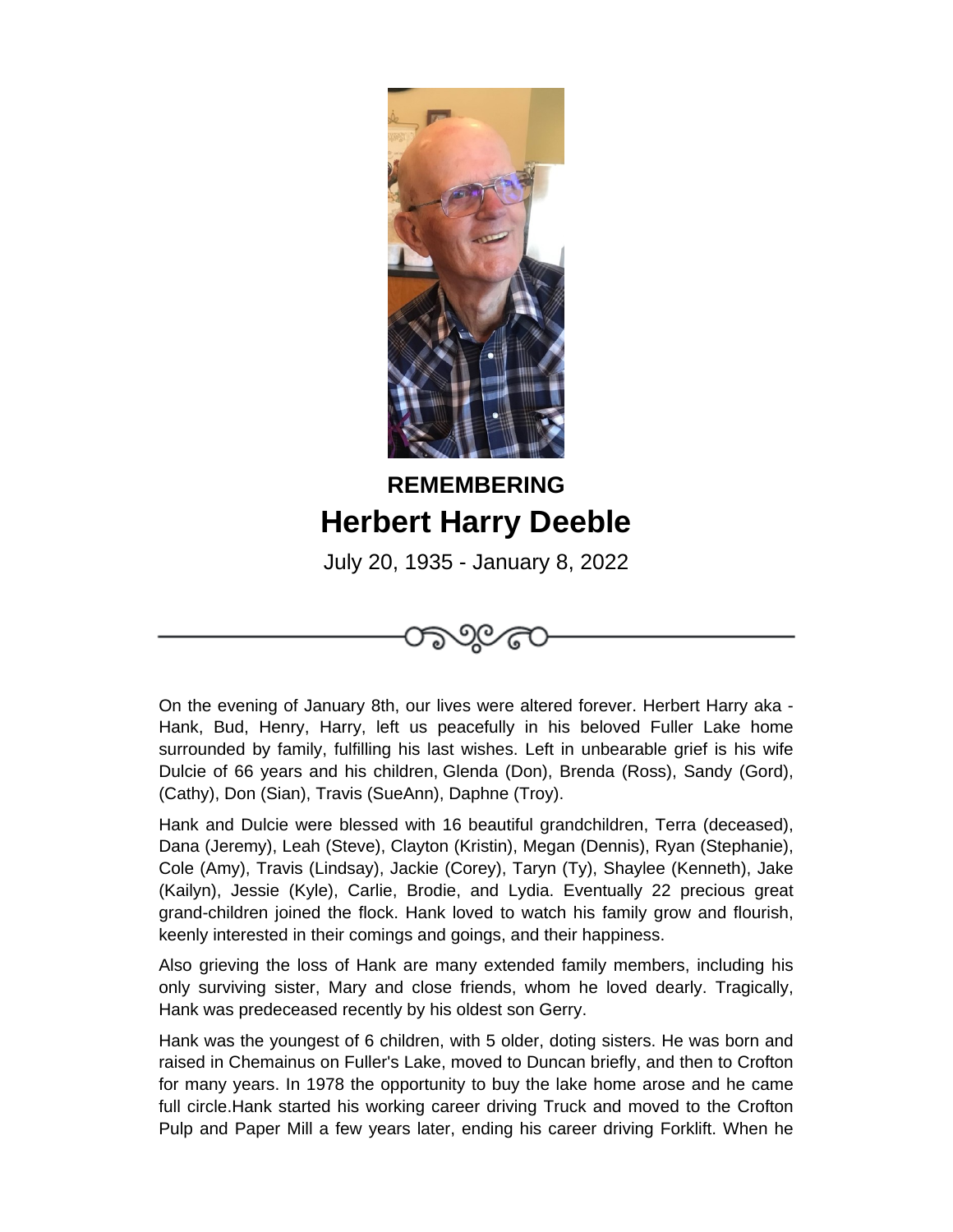

## **REMEMBERING Herbert Harry Deeble**

July 20, 1935 - January 8, 2022



On the evening of January 8th, our lives were altered forever. Herbert Harry aka - Hank, Bud, Henry, Harry, left us peacefully in his beloved Fuller Lake home surrounded by family, fulfilling his last wishes. Left in unbearable grief is his wife Dulcie of 66 years and his children, Glenda (Don), Brenda (Ross), Sandy (Gord), (Cathy), Don (Sian), Travis (SueAnn), Daphne (Troy).

Hank and Dulcie were blessed with 16 beautiful grandchildren, Terra (deceased), Dana (Jeremy), Leah (Steve), Clayton (Kristin), Megan (Dennis), Ryan (Stephanie), Cole (Amy), Travis (Lindsay), Jackie (Corey), Taryn (Ty), Shaylee (Kenneth), Jake (Kailyn), Jessie (Kyle), Carlie, Brodie, and Lydia. Eventually 22 precious great grand-children joined the flock. Hank loved to watch his family grow and flourish, keenly interested in their comings and goings, and their happiness.

Also grieving the loss of Hank are many extended family members, including his only surviving sister, Mary and close friends, whom he loved dearly. Tragically, Hank was predeceased recently by his oldest son Gerry.

Hank was the youngest of 6 children, with 5 older, doting sisters. He was born and raised in Chemainus on Fuller's Lake, moved to Duncan briefly, and then to Crofton for many years. In 1978 the opportunity to buy the lake home arose and he came full circle.Hank started his working career driving Truck and moved to the Crofton Pulp and Paper Mill a few years later, ending his career driving Forklift. When he